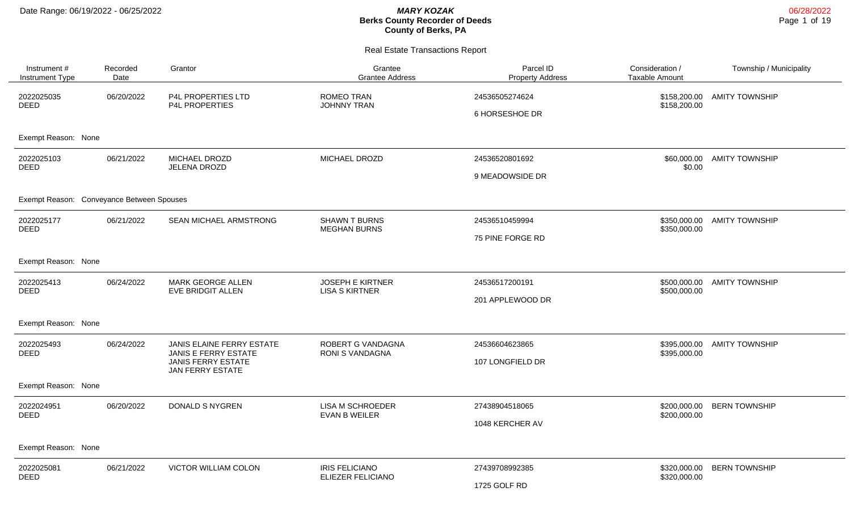# **Berks County Recorder of Deeds County of Berks, PA**

|                                           |                  |                                                                                                           | <b>Real Estate Transactions Report</b>           |                                      |                                   |                             |  |  |  |
|-------------------------------------------|------------------|-----------------------------------------------------------------------------------------------------------|--------------------------------------------------|--------------------------------------|-----------------------------------|-----------------------------|--|--|--|
| Instrument #<br><b>Instrument Type</b>    | Recorded<br>Date | Grantor                                                                                                   | Grantee<br><b>Grantee Address</b>                | Parcel ID<br><b>Property Address</b> | Consideration /<br>Taxable Amount | Township / Municipality     |  |  |  |
| 2022025035<br><b>DEED</b>                 | 06/20/2022       | P4L PROPERTIES LTD<br>P4L PROPERTIES                                                                      | ROMEO TRAN<br><b>JOHNNY TRAN</b>                 | 24536505274624<br>6 HORSESHOE DR     | \$158,200.00                      | \$158,200.00 AMITY TOWNSHIP |  |  |  |
| Exempt Reason: None                       |                  |                                                                                                           |                                                  |                                      |                                   |                             |  |  |  |
| 2022025103<br>DEED                        | 06/21/2022       | MICHAEL DROZD<br>JELENA DROZD                                                                             | MICHAEL DROZD                                    | 24536520801692<br>9 MEADOWSIDE DR    | \$0.00                            | \$60,000.00 AMITY TOWNSHIP  |  |  |  |
| Exempt Reason: Conveyance Between Spouses |                  |                                                                                                           |                                                  |                                      |                                   |                             |  |  |  |
| 2022025177<br><b>DEED</b>                 | 06/21/2022       | SEAN MICHAEL ARMSTRONG                                                                                    | <b>SHAWN T BURNS</b><br><b>MEGHAN BURNS</b>      | 24536510459994<br>75 PINE FORGE RD   | \$350,000.00<br>\$350,000.00      | <b>AMITY TOWNSHIP</b>       |  |  |  |
| Exempt Reason: None                       |                  |                                                                                                           |                                                  |                                      |                                   |                             |  |  |  |
| 2022025413<br>DEED                        | 06/24/2022       | <b>MARK GEORGE ALLEN</b><br>EVE BRIDGIT ALLEN                                                             | <b>JOSEPH E KIRTNER</b><br><b>LISA S KIRTNER</b> | 24536517200191<br>201 APPLEWOOD DR   | \$500,000.00                      | \$500,000.00 AMITY TOWNSHIP |  |  |  |
| Exempt Reason: None                       |                  |                                                                                                           |                                                  |                                      |                                   |                             |  |  |  |
| 2022025493<br>DEED                        | 06/24/2022       | JANIS ELAINE FERRY ESTATE<br><b>JANIS E FERRY ESTATE</b><br><b>JANIS FERRY ESTATE</b><br>JAN FERRY ESTATE | ROBERT G VANDAGNA<br>RONI S VANDAGNA             | 24536604623865<br>107 LONGFIELD DR   | \$395,000.00                      | \$395,000.00 AMITY TOWNSHIP |  |  |  |
| Exempt Reason: None                       |                  |                                                                                                           |                                                  |                                      |                                   |                             |  |  |  |

Exempt Reason: None 2022024951 DEED 06/20/2022 DONALD S NYGREN LISA M SCHROEDER EVAN B WEILER 27438904518065 1048 KERCHER AV \$200,000.00 BERN TOWNSHIP \$200,000.00 Exempt Reason: None 2022025081 DEED 06/21/2022 VICTOR WILLIAM COLON IRIS FELICIANO ELIEZER FELICIANO 27439708992385 1725 GOLF RD \$320,000.00 BERN TOWNSHIP\$320,000.00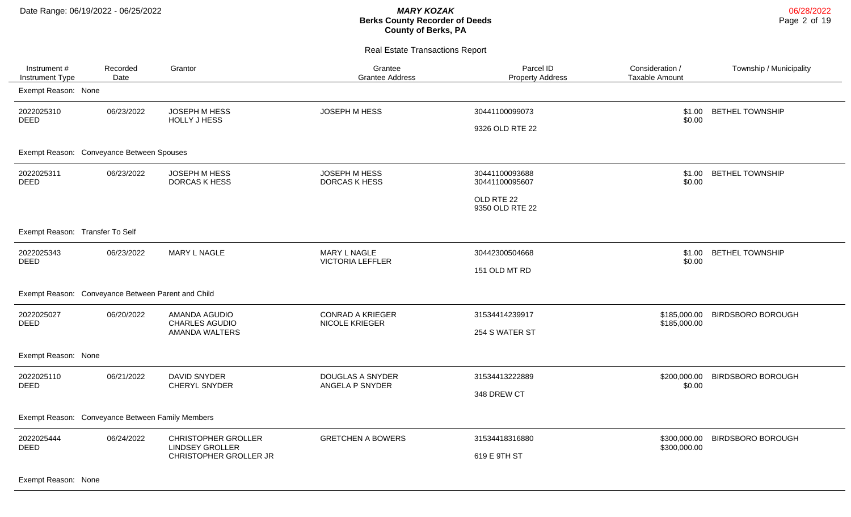Real Estate Transactions Report

| Instrument #<br>Instrument Type                    | Recorded<br>Date | Grantor                                                                        | Grantee<br><b>Grantee Address</b>       | Parcel ID<br><b>Property Address</b> | Consideration /<br><b>Taxable Amount</b> | Township / Municipality  |
|----------------------------------------------------|------------------|--------------------------------------------------------------------------------|-----------------------------------------|--------------------------------------|------------------------------------------|--------------------------|
| Exempt Reason: None                                |                  |                                                                                |                                         |                                      |                                          |                          |
| 2022025310                                         | 06/23/2022       | JOSEPH M HESS                                                                  | JOSEPH M HESS                           | 30441100099073                       | \$1.00                                   | <b>BETHEL TOWNSHIP</b>   |
| <b>DEED</b>                                        |                  | <b>HOLLY J HESS</b>                                                            |                                         | 9326 OLD RTE 22                      | \$0.00                                   |                          |
| Exempt Reason: Conveyance Between Spouses          |                  |                                                                                |                                         |                                      |                                          |                          |
| 2022025311<br><b>DEED</b>                          | 06/23/2022       | JOSEPH M HESS<br><b>DORCAS K HESS</b>                                          | JOSEPH M HESS<br><b>DORCAS K HESS</b>   | 30441100093688<br>30441100095607     | \$1.00<br>\$0.00                         | <b>BETHEL TOWNSHIP</b>   |
|                                                    |                  |                                                                                |                                         | OLD RTE 22<br>9350 OLD RTE 22        |                                          |                          |
| Exempt Reason: Transfer To Self                    |                  |                                                                                |                                         |                                      |                                          |                          |
| 2022025343<br><b>DEED</b>                          | 06/23/2022       | MARY L NAGLE                                                                   | MARY L NAGLE<br><b>VICTORIA LEFFLER</b> | 30442300504668                       | \$1.00<br>\$0.00                         | <b>BETHEL TOWNSHIP</b>   |
|                                                    |                  |                                                                                |                                         | 151 OLD MT RD                        |                                          |                          |
| Exempt Reason: Conveyance Between Parent and Child |                  |                                                                                |                                         |                                      |                                          |                          |
| 2022025027                                         | 06/20/2022       | AMANDA AGUDIO                                                                  | <b>CONRAD A KRIEGER</b>                 | 31534414239917                       | \$185,000.00                             | <b>BIRDSBORO BOROUGH</b> |
| <b>DEED</b>                                        |                  | <b>CHARLES AGUDIO</b><br><b>AMANDA WALTERS</b>                                 | <b>NICOLE KRIEGER</b>                   | 254 S WATER ST                       | \$185,000.00                             |                          |
| Exempt Reason: None                                |                  |                                                                                |                                         |                                      |                                          |                          |
| 2022025110                                         | 06/21/2022       | <b>DAVID SNYDER</b>                                                            | <b>DOUGLAS A SNYDER</b>                 | 31534413222889                       | \$200,000.00                             | <b>BIRDSBORO BOROUGH</b> |
| <b>DEED</b>                                        |                  | <b>CHERYL SNYDER</b>                                                           | ANGELA P SNYDER                         | 348 DREW CT                          | \$0.00                                   |                          |
| Exempt Reason: Conveyance Between Family Members   |                  |                                                                                |                                         |                                      |                                          |                          |
| 2022025444                                         | 06/24/2022       | <b>CHRISTOPHER GROLLER</b><br><b>LINDSEY GROLLER</b><br>CHRISTOPHER GROLLER JR | <b>GRETCHEN A BOWERS</b>                | 31534418316880                       | \$300,000.00                             | <b>BIRDSBORO BOROUGH</b> |
| <b>DEED</b>                                        |                  |                                                                                |                                         | 619 E 9TH ST                         | \$300,000.00                             |                          |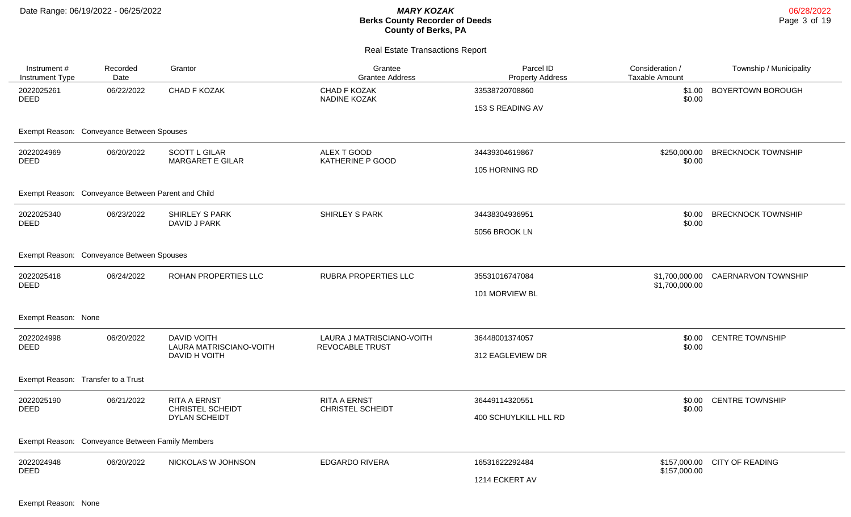| Instrument#<br>Instrument Type                     | Recorded<br>Date                                 | Grantor                                         | Grantee<br><b>Grantee Address</b>            | Parcel ID<br><b>Property Address</b> | Consideration /<br><b>Taxable Amount</b> | Township / Municipality            |  |  |  |
|----------------------------------------------------|--------------------------------------------------|-------------------------------------------------|----------------------------------------------|--------------------------------------|------------------------------------------|------------------------------------|--|--|--|
| 2022025261<br><b>DEED</b>                          | 06/22/2022                                       | CHAD F KOZAK                                    | CHAD F KOZAK<br>NADINE KOZAK                 | 33538720708860                       | \$1.00<br>\$0.00                         | BOYERTOWN BOROUGH                  |  |  |  |
|                                                    |                                                  |                                                 |                                              | 153 S READING AV                     |                                          |                                    |  |  |  |
| Exempt Reason: Conveyance Between Spouses          |                                                  |                                                 |                                              |                                      |                                          |                                    |  |  |  |
| 2022024969<br>DEED                                 | 06/20/2022                                       | <b>SCOTT L GILAR</b><br><b>MARGARET E GILAR</b> | ALEX T GOOD<br>KATHERINE P GOOD              | 34439304619867                       | \$0.00                                   | \$250,000.00 BRECKNOCK TOWNSHIP    |  |  |  |
|                                                    |                                                  |                                                 |                                              | 105 HORNING RD                       |                                          |                                    |  |  |  |
| Exempt Reason: Conveyance Between Parent and Child |                                                  |                                                 |                                              |                                      |                                          |                                    |  |  |  |
| 2022025340                                         | 06/23/2022                                       | <b>SHIRLEY S PARK</b>                           | <b>SHIRLEY S PARK</b>                        | 34438304936951                       | \$0.00                                   | <b>BRECKNOCK TOWNSHIP</b>          |  |  |  |
| <b>DEED</b>                                        |                                                  | DAVID J PARK                                    |                                              | 5056 BROOK LN                        | \$0.00                                   |                                    |  |  |  |
| Exempt Reason: Conveyance Between Spouses          |                                                  |                                                 |                                              |                                      |                                          |                                    |  |  |  |
| 2022025418<br><b>DEED</b>                          | 06/24/2022                                       | ROHAN PROPERTIES LLC                            | RUBRA PROPERTIES LLC                         | 35531016747084                       | \$1,700,000.00                           | \$1,700,000.00 CAERNARVON TOWNSHIP |  |  |  |
|                                                    |                                                  |                                                 |                                              | 101 MORVIEW BL                       |                                          |                                    |  |  |  |
| Exempt Reason: None                                |                                                  |                                                 |                                              |                                      |                                          |                                    |  |  |  |
| 2022024998<br><b>DEED</b>                          | 06/20/2022                                       | <b>DAVID VOITH</b><br>LAURA MATRISCIANO-VOITH   | LAURA J MATRISCIANO-VOITH<br>REVOCABLE TRUST | 36448001374057                       | \$0.00<br>\$0.00                         | <b>CENTRE TOWNSHIP</b>             |  |  |  |
|                                                    |                                                  | DAVID H VOITH                                   |                                              | 312 EAGLEVIEW DR                     |                                          |                                    |  |  |  |
| Exempt Reason: Transfer to a Trust                 |                                                  |                                                 |                                              |                                      |                                          |                                    |  |  |  |
| 2022025190<br>DEED                                 | 06/21/2022                                       | <b>RITA A ERNST</b>                             | RITA A ERNST<br>CHRISTEL SCHEIDT             | 36449114320551                       |                                          | \$0.00 CENTRE TOWNSHIP             |  |  |  |
|                                                    |                                                  | CHRISTEL SCHEIDT<br><b>DYLAN SCHEIDT</b>        |                                              | 400 SCHUYLKILL HLL RD                | \$0.00                                   |                                    |  |  |  |
|                                                    | Exempt Reason: Conveyance Between Family Members |                                                 |                                              |                                      |                                          |                                    |  |  |  |
| 2022024948                                         | 06/20/2022                                       | NICKOLAS W JOHNSON                              | <b>EDGARDO RIVERA</b>                        | 16531622292484                       | \$157,000.00                             | \$157,000.00 CITY OF READING       |  |  |  |
| <b>DEED</b>                                        |                                                  |                                                 |                                              | 1214 ECKERT AV                       |                                          |                                    |  |  |  |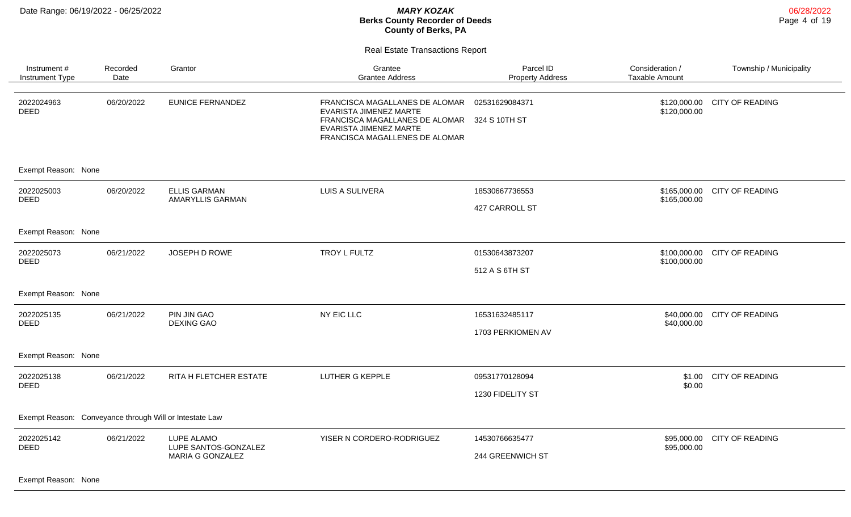Real Estate Transactions Report

| Instrument#<br>Instrument Type                          | Recorded<br>Date | Grantor                                 | Grantee<br><b>Grantee Address</b>                                                                                                                      | Parcel ID<br><b>Property Address</b> | Consideration /<br>Taxable Amount | Township / Municipality      |
|---------------------------------------------------------|------------------|-----------------------------------------|--------------------------------------------------------------------------------------------------------------------------------------------------------|--------------------------------------|-----------------------------------|------------------------------|
| 2022024963<br><b>DEED</b>                               | 06/20/2022       | <b>EUNICE FERNANDEZ</b>                 | FRANCISCA MAGALLANES DE ALOMAR<br>EVARISTA JIMENEZ MARTE<br>FRANCISCA MAGALLANES DE ALOMAR<br>EVARISTA JIMENEZ MARTE<br>FRANCISCA MAGALLENES DE ALOMAR | 02531629084371<br>324 S 10TH ST      | \$120,000.00                      | \$120,000.00 CITY OF READING |
| Exempt Reason: None                                     |                  |                                         |                                                                                                                                                        |                                      |                                   |                              |
| 2022025003<br><b>DEED</b>                               | 06/20/2022       | <b>ELLIS GARMAN</b><br>AMARYLLIS GARMAN | LUIS A SULIVERA                                                                                                                                        | 18530667736553                       | \$165,000.00<br>\$165,000.00      | <b>CITY OF READING</b>       |
|                                                         |                  |                                         |                                                                                                                                                        | 427 CARROLL ST                       |                                   |                              |
| Exempt Reason: None                                     |                  |                                         |                                                                                                                                                        |                                      |                                   |                              |
| 2022025073<br><b>DEED</b>                               | 06/21/2022       | JOSEPH D ROWE                           | TROY L FULTZ                                                                                                                                           | 01530643873207                       | \$100,000.00                      | \$100,000.00 CITY OF READING |
|                                                         |                  |                                         |                                                                                                                                                        | 512 A S 6TH ST                       |                                   |                              |
| Exempt Reason: None                                     |                  |                                         |                                                                                                                                                        |                                      |                                   |                              |
| 2022025135<br><b>DEED</b>                               | 06/21/2022       | PIN JIN GAO<br><b>DEXING GAO</b>        | NY EIC LLC                                                                                                                                             | 16531632485117                       | \$40,000.00                       | \$40,000.00 CITY OF READING  |
|                                                         |                  |                                         |                                                                                                                                                        | 1703 PERKIOMEN AV                    |                                   |                              |
| Exempt Reason: None                                     |                  |                                         |                                                                                                                                                        |                                      |                                   |                              |
| 2022025138<br><b>DEED</b>                               | 06/21/2022       | RITA H FLETCHER ESTATE                  | <b>LUTHER G KEPPLE</b>                                                                                                                                 | 09531770128094                       | \$1.00<br>\$0.00                  | <b>CITY OF READING</b>       |
|                                                         |                  |                                         |                                                                                                                                                        | 1230 FIDELITY ST                     |                                   |                              |
| Exempt Reason: Conveyance through Will or Intestate Law |                  |                                         |                                                                                                                                                        |                                      |                                   |                              |
| 2022025142<br><b>DEED</b>                               | 06/21/2022       | LUPE ALAMO<br>LUPE SANTOS-GONZALEZ      | YISER N CORDERO-RODRIGUEZ                                                                                                                              | 14530766635477                       | \$95,000.00<br>\$95,000.00        | CITY OF READING              |
|                                                         |                  | <b>MARIA G GONZALEZ</b>                 |                                                                                                                                                        | 244 GREENWICH ST                     |                                   |                              |

Exempt Reason: None

06/28/2022 Page 4 of 19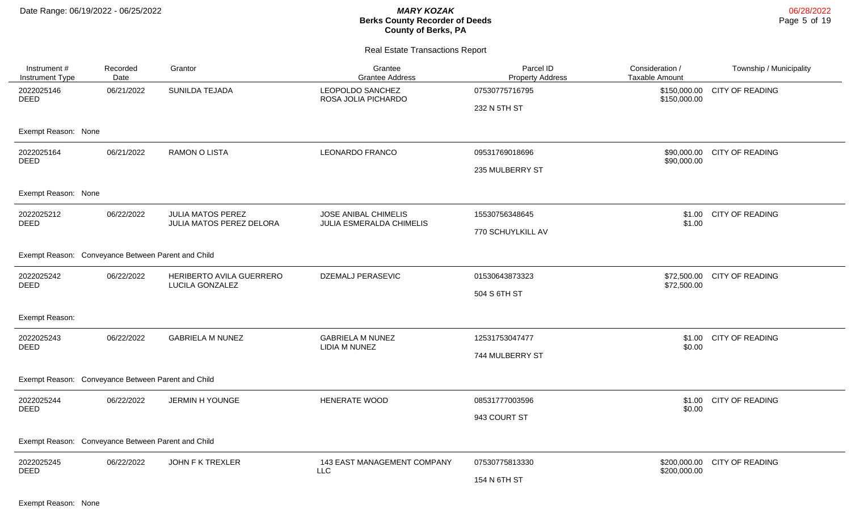| Instrument #<br>Instrument Type                    | Recorded<br>Date                                   | Grantor                                              | Grantee<br><b>Grantee Address</b>                       | Parcel ID<br><b>Property Address</b> | Consideration /<br><b>Taxable Amount</b> | Township / Municipality |  |  |  |
|----------------------------------------------------|----------------------------------------------------|------------------------------------------------------|---------------------------------------------------------|--------------------------------------|------------------------------------------|-------------------------|--|--|--|
| 2022025146<br><b>DEED</b>                          | 06/21/2022                                         | SUNILDA TEJADA                                       | LEOPOLDO SANCHEZ<br>ROSA JOLIA PICHARDO                 | 07530775716795                       | \$150,000.00<br>\$150,000.00             | CITY OF READING         |  |  |  |
|                                                    |                                                    |                                                      |                                                         | 232 N 5TH ST                         |                                          |                         |  |  |  |
| Exempt Reason: None                                |                                                    |                                                      |                                                         |                                      |                                          |                         |  |  |  |
| 2022025164<br><b>DEED</b>                          | 06/21/2022                                         | <b>RAMON O LISTA</b>                                 | <b>LEONARDO FRANCO</b>                                  | 09531769018696                       | \$90,000.00<br>\$90,000.00               | <b>CITY OF READING</b>  |  |  |  |
|                                                    |                                                    |                                                      |                                                         | 235 MULBERRY ST                      |                                          |                         |  |  |  |
| Exempt Reason: None                                |                                                    |                                                      |                                                         |                                      |                                          |                         |  |  |  |
| 2022025212<br><b>DEED</b>                          | 06/22/2022                                         | <b>JULIA MATOS PEREZ</b><br>JULIA MATOS PEREZ DELORA | <b>JOSE ANIBAL CHIMELIS</b><br>JULIA ESMERALDA CHIMELIS | 15530756348645                       | \$1.00<br>\$1.00                         | <b>CITY OF READING</b>  |  |  |  |
|                                                    |                                                    |                                                      |                                                         | 770 SCHUYLKILL AV                    |                                          |                         |  |  |  |
| Exempt Reason: Conveyance Between Parent and Child |                                                    |                                                      |                                                         |                                      |                                          |                         |  |  |  |
| 2022025242<br><b>DEED</b>                          | 06/22/2022                                         | HERIBERTO AVILA GUERRERO<br>LUCILA GONZALEZ          | DZEMALJ PERASEVIC                                       | 01530643873323                       | \$72,500.00<br>\$72,500.00               | <b>CITY OF READING</b>  |  |  |  |
|                                                    |                                                    |                                                      |                                                         | 504 S 6TH ST                         |                                          |                         |  |  |  |
| Exempt Reason:                                     |                                                    |                                                      |                                                         |                                      |                                          |                         |  |  |  |
| 2022025243<br>DEED                                 | 06/22/2022                                         | <b>GABRIELA M NUNEZ</b>                              | <b>GABRIELA M NUNEZ</b><br>LIDIA M NUNEZ                | 12531753047477                       | \$1.00<br>\$0.00                         | <b>CITY OF READING</b>  |  |  |  |
|                                                    |                                                    |                                                      |                                                         | 744 MULBERRY ST                      |                                          |                         |  |  |  |
| Exempt Reason: Conveyance Between Parent and Child |                                                    |                                                      |                                                         |                                      |                                          |                         |  |  |  |
| 2022025244<br><b>DEED</b>                          | 06/22/2022                                         | JERMIN H YOUNGE                                      | HENERATE WOOD                                           | 08531777003596                       | \$1.00<br>\$0.00                         | CITY OF READING         |  |  |  |
|                                                    |                                                    |                                                      |                                                         | 943 COURT ST                         |                                          |                         |  |  |  |
|                                                    | Exempt Reason: Conveyance Between Parent and Child |                                                      |                                                         |                                      |                                          |                         |  |  |  |
| 2022025245<br><b>DEED</b>                          | 06/22/2022                                         | JOHN F K TREXLER                                     | 143 EAST MANAGEMENT COMPANY<br><b>LLC</b>               | 07530775813330                       | \$200,000.00<br>\$200,000.00             | <b>CITY OF READING</b>  |  |  |  |
|                                                    |                                                    |                                                      |                                                         | 154 N 6TH ST                         |                                          |                         |  |  |  |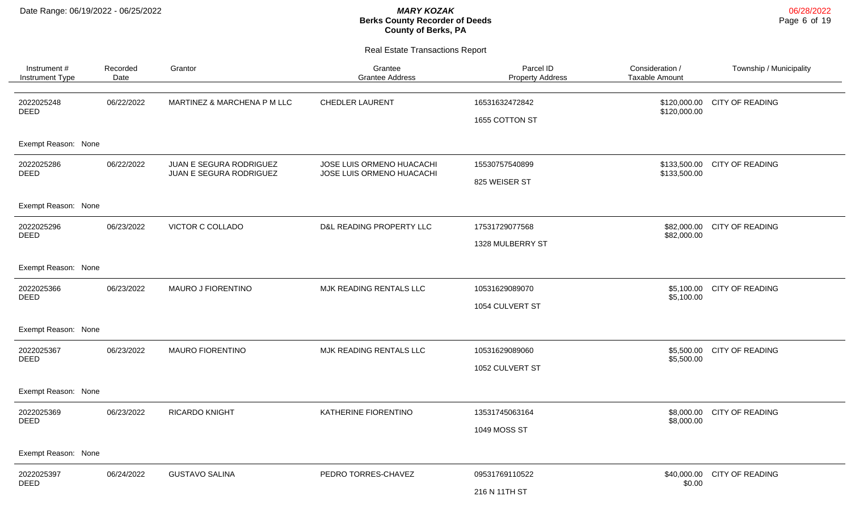| Instrument #<br>Instrument Type | Recorded<br>Date | Grantor                                            | Grantee<br><b>Grantee Address</b>                      | Parcel ID<br><b>Property Address</b> | Consideration /<br><b>Taxable Amount</b> | Township / Municipality     |
|---------------------------------|------------------|----------------------------------------------------|--------------------------------------------------------|--------------------------------------|------------------------------------------|-----------------------------|
| 2022025248<br><b>DEED</b>       | 06/22/2022       | MARTINEZ & MARCHENA P M LLC                        | <b>CHEDLER LAURENT</b>                                 | 16531632472842<br>1655 COTTON ST     | \$120,000.00<br>\$120,000.00             | <b>CITY OF READING</b>      |
| Exempt Reason: None             |                  |                                                    |                                                        |                                      |                                          |                             |
| 2022025286<br><b>DEED</b>       | 06/22/2022       | JUAN E SEGURA RODRIGUEZ<br>JUAN E SEGURA RODRIGUEZ | JOSE LUIS ORMENO HUACACHI<br>JOSE LUIS ORMENO HUACACHI | 15530757540899<br>825 WEISER ST      | \$133,500.00<br>\$133,500.00             | <b>CITY OF READING</b>      |
| Exempt Reason: None             |                  |                                                    |                                                        |                                      |                                          |                             |
| 2022025296<br>DEED              | 06/23/2022       | VICTOR C COLLADO                                   | D&L READING PROPERTY LLC                               | 17531729077568<br>1328 MULBERRY ST   | \$82,000.00<br>\$82,000.00               | <b>CITY OF READING</b>      |
| Exempt Reason: None             |                  |                                                    |                                                        |                                      |                                          |                             |
| 2022025366<br><b>DEED</b>       | 06/23/2022       | MAURO J FIORENTINO                                 | MJK READING RENTALS LLC                                | 10531629089070<br>1054 CULVERT ST    | \$5,100.00                               | \$5,100.00 CITY OF READING  |
| Exempt Reason: None             |                  |                                                    |                                                        |                                      |                                          |                             |
| 2022025367<br><b>DEED</b>       | 06/23/2022       | <b>MAURO FIORENTINO</b>                            | MJK READING RENTALS LLC                                | 10531629089060<br>1052 CULVERT ST    | \$5,500.00<br>\$5,500.00                 | CITY OF READING             |
| Exempt Reason: None             |                  |                                                    |                                                        |                                      |                                          |                             |
| 2022025369<br><b>DEED</b>       | 06/23/2022       | <b>RICARDO KNIGHT</b>                              | KATHERINE FIORENTINO                                   | 13531745063164<br>1049 MOSS ST       | \$8,000.00<br>\$8,000.00                 | CITY OF READING             |
| Exempt Reason: None             |                  |                                                    |                                                        |                                      |                                          |                             |
| 2022025397<br><b>DEED</b>       | 06/24/2022       | <b>GUSTAVO SALINA</b>                              | PEDRO TORRES-CHAVEZ                                    | 09531769110522<br>216 N 11TH ST      | \$0.00                                   | \$40,000.00 CITY OF READING |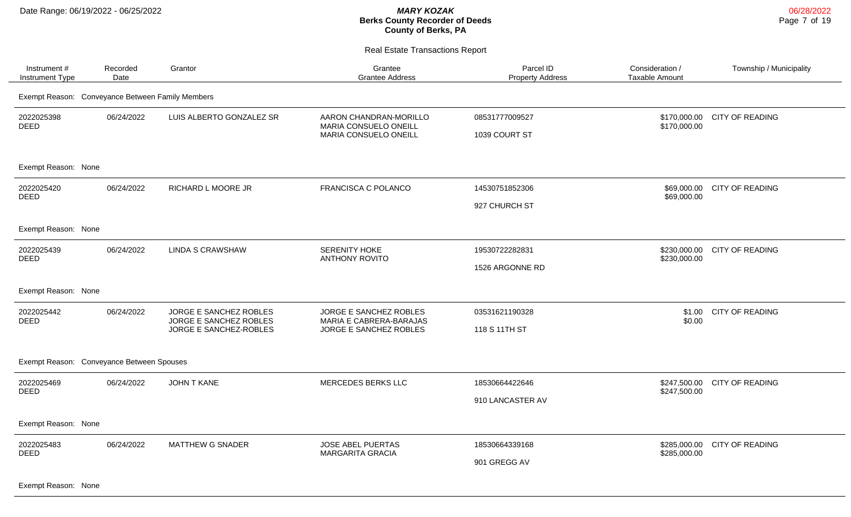Real Estate Transactions Report

| Instrument#<br>Instrument Type                   | Recorded<br>Date | Grantor                                                                    | Grantee<br><b>Grantee Address</b>                                           | Parcel ID<br><b>Property Address</b> | Consideration /<br><b>Taxable Amount</b> | Township / Municipality |
|--------------------------------------------------|------------------|----------------------------------------------------------------------------|-----------------------------------------------------------------------------|--------------------------------------|------------------------------------------|-------------------------|
| Exempt Reason: Conveyance Between Family Members |                  |                                                                            |                                                                             |                                      |                                          |                         |
| 2022025398<br><b>DEED</b>                        | 06/24/2022       | LUIS ALBERTO GONZALEZ SR                                                   | AARON CHANDRAN-MORILLO<br>MARIA CONSUELO ONEILL<br>MARIA CONSUELO ONEILL    | 08531777009527<br>1039 COURT ST      | \$170,000.00<br>\$170,000.00             | <b>CITY OF READING</b>  |
| Exempt Reason: None                              |                  |                                                                            |                                                                             |                                      |                                          |                         |
| 2022025420<br><b>DEED</b>                        | 06/24/2022       | RICHARD L MOORE JR                                                         | FRANCISCA C POLANCO                                                         | 14530751852306<br>927 CHURCH ST      | \$69,000.00<br>\$69,000.00               | <b>CITY OF READING</b>  |
| Exempt Reason: None                              |                  |                                                                            |                                                                             |                                      |                                          |                         |
| 2022025439<br><b>DEED</b>                        | 06/24/2022       | <b>LINDA S CRAWSHAW</b>                                                    | SERENITY HOKE<br><b>ANTHONY ROVITO</b>                                      | 19530722282831<br>1526 ARGONNE RD    | \$230,000.00<br>\$230,000.00             | <b>CITY OF READING</b>  |
| Exempt Reason: None                              |                  |                                                                            |                                                                             |                                      |                                          |                         |
| 2022025442<br><b>DEED</b>                        | 06/24/2022       | JORGE E SANCHEZ ROBLES<br>JORGE E SANCHEZ ROBLES<br>JORGE E SANCHEZ-ROBLES | JORGE E SANCHEZ ROBLES<br>MARIA E CABRERA-BARAJAS<br>JORGE E SANCHEZ ROBLES | 03531621190328<br>118 S 11TH ST      | \$1.00<br>\$0.00                         | <b>CITY OF READING</b>  |
| Exempt Reason: Conveyance Between Spouses        |                  |                                                                            |                                                                             |                                      |                                          |                         |
| 2022025469<br><b>DEED</b>                        | 06/24/2022       | <b>JOHN T KANE</b>                                                         | MERCEDES BERKS LLC                                                          | 18530664422646<br>910 LANCASTER AV   | \$247,500.00<br>\$247,500.00             | <b>CITY OF READING</b>  |
| Exempt Reason: None                              |                  |                                                                            |                                                                             |                                      |                                          |                         |
| 2022025483<br><b>DEED</b>                        | 06/24/2022       | MATTHEW G SNADER                                                           | <b>JOSE ABEL PUERTAS</b><br><b>MARGARITA GRACIA</b>                         | 18530664339168<br>901 GREGG AV       | \$285,000.00<br>\$285,000.00             | <b>CITY OF READING</b>  |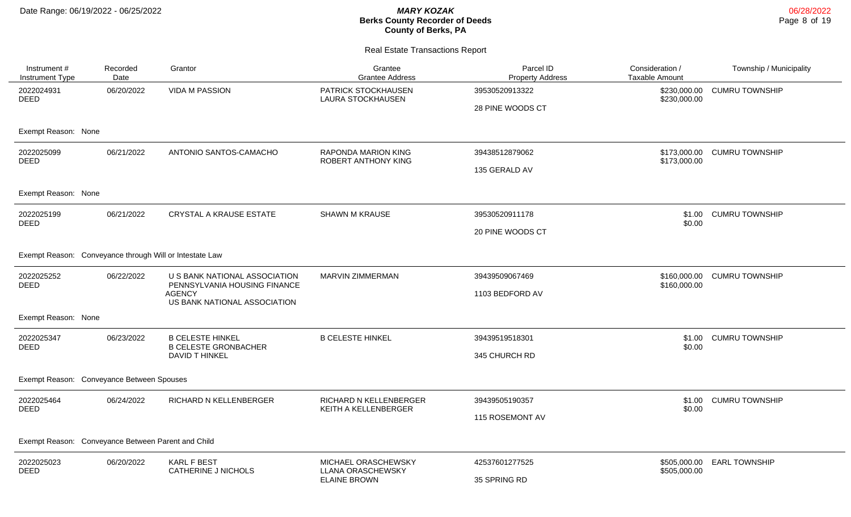| Instrument #<br>Instrument Type                    | Recorded<br>Date                                        | Grantor                                                                                                        | Grantee<br><b>Grantee Address</b>                                      | Parcel ID<br><b>Property Address</b> | Consideration /<br><b>Taxable Amount</b> | Township / Municipality |  |  |
|----------------------------------------------------|---------------------------------------------------------|----------------------------------------------------------------------------------------------------------------|------------------------------------------------------------------------|--------------------------------------|------------------------------------------|-------------------------|--|--|
| 2022024931<br><b>DEED</b>                          | 06/20/2022                                              | <b>VIDA M PASSION</b>                                                                                          | PATRICK STOCKHAUSEN<br><b>LAURA STOCKHAUSEN</b>                        | 39530520913322<br>28 PINE WOODS CT   | \$230,000.00<br>\$230,000.00             | <b>CUMRU TOWNSHIP</b>   |  |  |
| Exempt Reason: None                                |                                                         |                                                                                                                |                                                                        |                                      |                                          |                         |  |  |
| 2022025099<br><b>DEED</b>                          | 06/21/2022                                              | ANTONIO SANTOS-CAMACHO                                                                                         | RAPONDA MARION KING<br>ROBERT ANTHONY KING                             | 39438512879062<br>135 GERALD AV      | \$173,000.00<br>\$173,000.00             | <b>CUMRU TOWNSHIP</b>   |  |  |
| Exempt Reason: None                                |                                                         |                                                                                                                |                                                                        |                                      |                                          |                         |  |  |
| 2022025199<br><b>DEED</b>                          | 06/21/2022                                              | CRYSTAL A KRAUSE ESTATE                                                                                        | <b>SHAWN M KRAUSE</b>                                                  | 39530520911178<br>20 PINE WOODS CT   | \$1.00<br>\$0.00                         | <b>CUMRU TOWNSHIP</b>   |  |  |
|                                                    | Exempt Reason: Conveyance through Will or Intestate Law |                                                                                                                |                                                                        |                                      |                                          |                         |  |  |
| 2022025252<br><b>DEED</b>                          | 06/22/2022                                              | U S BANK NATIONAL ASSOCIATION<br>PENNSYLVANIA HOUSING FINANCE<br><b>AGENCY</b><br>US BANK NATIONAL ASSOCIATION | MARVIN ZIMMERMAN                                                       | 39439509067469<br>1103 BEDFORD AV    | \$160,000.00<br>\$160,000.00             | <b>CUMRU TOWNSHIP</b>   |  |  |
| Exempt Reason: None                                |                                                         |                                                                                                                |                                                                        |                                      |                                          |                         |  |  |
| 2022025347<br>DEED                                 | 06/23/2022                                              | <b>B CELESTE HINKEL</b><br><b>B CELESTE GRONBACHER</b><br>DAVID T HINKEL                                       | <b>B CELESTE HINKEL</b>                                                | 39439519518301<br>345 CHURCH RD      | \$1.00<br>\$0.00                         | <b>CUMRU TOWNSHIP</b>   |  |  |
| Exempt Reason: Conveyance Between Spouses          |                                                         |                                                                                                                |                                                                        |                                      |                                          |                         |  |  |
| 2022025464<br><b>DEED</b>                          | 06/24/2022                                              | RICHARD N KELLENBERGER                                                                                         | <b>RICHARD N KELLENBERGER</b><br>KEITH A KELLENBERGER                  | 39439505190357<br>115 ROSEMONT AV    | \$1.00<br>\$0.00                         | <b>CUMRU TOWNSHIP</b>   |  |  |
| Exempt Reason: Conveyance Between Parent and Child |                                                         |                                                                                                                |                                                                        |                                      |                                          |                         |  |  |
| 2022025023<br><b>DEED</b>                          | 06/20/2022                                              | <b>KARL F BEST</b><br><b>CATHERINE J NICHOLS</b>                                                               | MICHAEL ORASCHEWSKY<br><b>LLANA ORASCHEWSKY</b><br><b>ELAINE BROWN</b> | 42537601277525<br>35 SPRING RD       | \$505,000.00<br>\$505,000.00             | <b>EARL TOWNSHIP</b>    |  |  |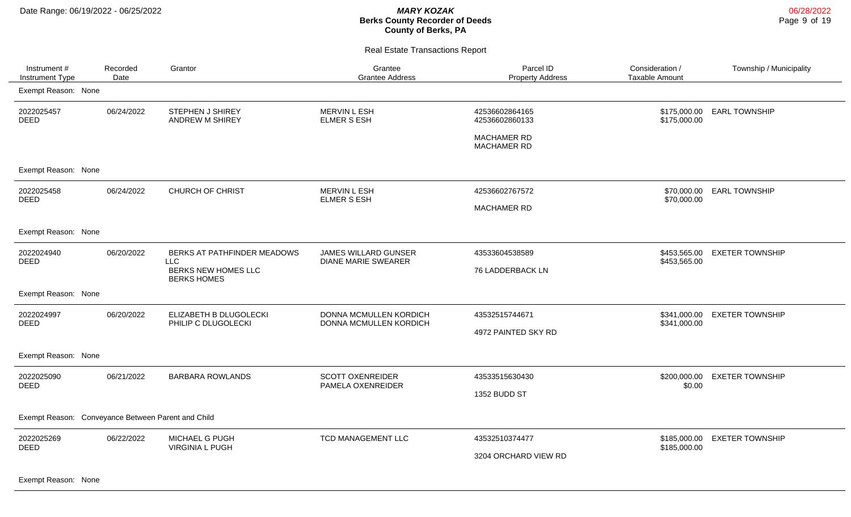Real Estate Transactions Report

| Instrument #<br>Instrument Type | Recorded<br>Date                                   | Grantor                                           | Grantee<br><b>Grantee Address</b>                         | Parcel ID<br><b>Property Address</b> | Consideration /<br><b>Taxable Amount</b> | Township / Municipality |  |  |  |
|---------------------------------|----------------------------------------------------|---------------------------------------------------|-----------------------------------------------------------|--------------------------------------|------------------------------------------|-------------------------|--|--|--|
| Exempt Reason: None             |                                                    |                                                   |                                                           |                                      |                                          |                         |  |  |  |
| 2022025457<br><b>DEED</b>       | 06/24/2022                                         | <b>STEPHEN J SHIREY</b><br><b>ANDREW M SHIREY</b> | <b>MERVIN L ESH</b><br><b>ELMER S ESH</b>                 | 42536602864165<br>42536602860133     | \$175,000.00<br>\$175,000.00             | <b>EARL TOWNSHIP</b>    |  |  |  |
|                                 |                                                    |                                                   |                                                           | <b>MACHAMER RD</b><br>MACHAMER RD    |                                          |                         |  |  |  |
| Exempt Reason: None             |                                                    |                                                   |                                                           |                                      |                                          |                         |  |  |  |
| 2022025458<br><b>DEED</b>       | 06/24/2022                                         | <b>CHURCH OF CHRIST</b>                           | MERVIN L ESH<br>ELMER S ESH                               | 42536602767572                       | \$70,000.00<br>\$70,000.00               | <b>EARL TOWNSHIP</b>    |  |  |  |
|                                 |                                                    |                                                   |                                                           | <b>MACHAMER RD</b>                   |                                          |                         |  |  |  |
| Exempt Reason: None             |                                                    |                                                   |                                                           |                                      |                                          |                         |  |  |  |
| 2022024940<br><b>DEED</b>       | 06/20/2022                                         | BERKS AT PATHFINDER MEADOWS<br>LLC                | <b>JAMES WILLARD GUNSER</b><br><b>DIANE MARIE SWEARER</b> | 43533604538589                       | \$453,565.00<br>\$453,565.00             | <b>EXETER TOWNSHIP</b>  |  |  |  |
|                                 |                                                    | BERKS NEW HOMES LLC<br><b>BERKS HOMES</b>         |                                                           | 76 LADDERBACK LN                     |                                          |                         |  |  |  |
| Exempt Reason: None             |                                                    |                                                   |                                                           |                                      |                                          |                         |  |  |  |
| 2022024997<br><b>DEED</b>       | 06/20/2022                                         | ELIZABETH B DLUGOLECKI<br>PHILIP C DLUGOLECKI     | <b>DONNA MCMULLEN KORDICH</b><br>DONNA MCMULLEN KORDICH   | 43532515744671                       | \$341,000.00<br>\$341,000.00             | <b>EXETER TOWNSHIP</b>  |  |  |  |
|                                 |                                                    |                                                   |                                                           | 4972 PAINTED SKY RD                  |                                          |                         |  |  |  |
| Exempt Reason: None             |                                                    |                                                   |                                                           |                                      |                                          |                         |  |  |  |
| 2022025090<br><b>DEED</b>       | 06/21/2022                                         | <b>BARBARA ROWLANDS</b>                           | <b>SCOTT OXENREIDER</b><br>PAMELA OXENREIDER              | 43533515630430                       | \$200,000.00<br>\$0.00                   | <b>EXETER TOWNSHIP</b>  |  |  |  |
|                                 |                                                    |                                                   |                                                           | 1352 BUDD ST                         |                                          |                         |  |  |  |
|                                 | Exempt Reason: Conveyance Between Parent and Child |                                                   |                                                           |                                      |                                          |                         |  |  |  |
| 2022025269<br><b>DEED</b>       | 06/22/2022                                         | MICHAEL G PUGH                                    | TCD MANAGEMENT LLC                                        | 43532510374477                       | \$185,000.00                             | <b>EXETER TOWNSHIP</b>  |  |  |  |
|                                 |                                                    | <b>VIRGINIA L PUGH</b>                            |                                                           | 3204 ORCHARD VIEW RD                 | \$185,000.00                             |                         |  |  |  |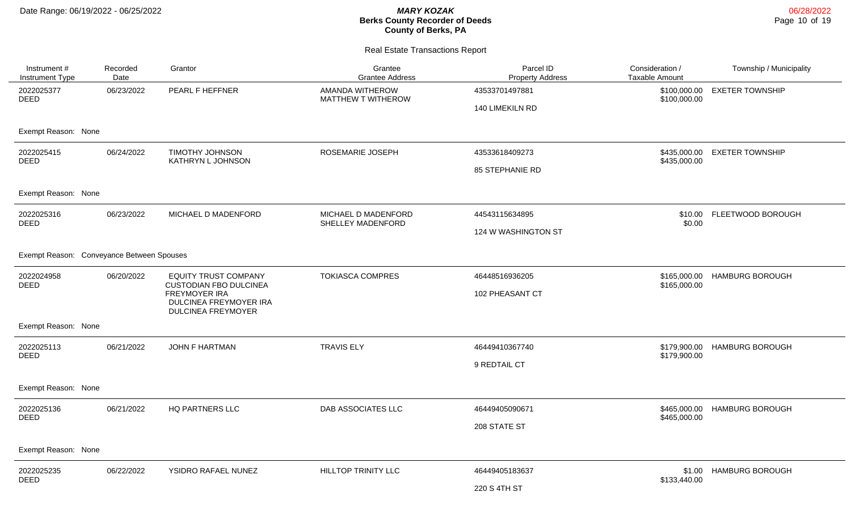| Instrument #<br>Instrument Type           | Recorded<br>Date | Grantor                                                                                                                              | Grantee<br><b>Grantee Address</b>        | Parcel ID<br><b>Property Address</b> | Consideration /<br><b>Taxable Amount</b> | Township / Municipality |
|-------------------------------------------|------------------|--------------------------------------------------------------------------------------------------------------------------------------|------------------------------------------|--------------------------------------|------------------------------------------|-------------------------|
| 2022025377<br><b>DEED</b>                 | 06/23/2022       | PEARL F HEFFNER                                                                                                                      | AMANDA WITHEROW<br>MATTHEW T WITHEROW    | 43533701497881<br>140 LIMEKILN RD    | \$100,000.00<br>\$100,000.00             | <b>EXETER TOWNSHIP</b>  |
| Exempt Reason: None                       |                  |                                                                                                                                      |                                          |                                      |                                          |                         |
| 2022025415<br><b>DEED</b>                 | 06/24/2022       | <b>TIMOTHY JOHNSON</b><br>KATHRYN L JOHNSON                                                                                          | ROSEMARIE JOSEPH                         | 43533618409273                       | \$435,000.00<br>\$435,000.00             | <b>EXETER TOWNSHIP</b>  |
|                                           |                  |                                                                                                                                      |                                          | 85 STEPHANIE RD                      |                                          |                         |
| Exempt Reason: None                       |                  |                                                                                                                                      |                                          |                                      |                                          |                         |
| 2022025316<br><b>DEED</b>                 | 06/23/2022       | MICHAEL D MADENFORD                                                                                                                  | MICHAEL D MADENFORD<br>SHELLEY MADENFORD | 44543115634895                       | \$10.00<br>\$0.00                        | FLEETWOOD BOROUGH       |
|                                           |                  |                                                                                                                                      |                                          | 124 W WASHINGTON ST                  |                                          |                         |
| Exempt Reason: Conveyance Between Spouses |                  |                                                                                                                                      |                                          |                                      |                                          |                         |
| 2022024958<br><b>DEED</b>                 | 06/20/2022       | <b>EQUITY TRUST COMPANY</b><br><b>CUSTODIAN FBO DULCINEA</b><br>FREYMOYER IRA<br>DULCINEA FREYMOYER IRA<br><b>DULCINEA FREYMOYER</b> | <b>TOKIASCA COMPRES</b>                  | 46448516936205                       | \$165,000.00<br>\$165,000.00             | <b>HAMBURG BOROUGH</b>  |
|                                           |                  |                                                                                                                                      |                                          | 102 PHEASANT CT                      |                                          |                         |
| Exempt Reason: None                       |                  |                                                                                                                                      |                                          |                                      |                                          |                         |
| 2022025113<br><b>DEED</b>                 | 06/21/2022       | <b>JOHN F HARTMAN</b>                                                                                                                | <b>TRAVIS ELY</b>                        | 46449410367740                       | \$179,900.00<br>\$179,900.00             | <b>HAMBURG BOROUGH</b>  |
|                                           |                  |                                                                                                                                      |                                          | 9 REDTAIL CT                         |                                          |                         |
| Exempt Reason: None                       |                  |                                                                                                                                      |                                          |                                      |                                          |                         |
| 2022025136<br><b>DEED</b>                 | 06/21/2022       | HQ PARTNERS LLC                                                                                                                      | DAB ASSOCIATES LLC                       | 46449405090671                       | \$465,000.00<br>\$465,000.00             | <b>HAMBURG BOROUGH</b>  |
|                                           |                  |                                                                                                                                      |                                          | 208 STATE ST                         |                                          |                         |
| Exempt Reason: None                       |                  |                                                                                                                                      |                                          |                                      |                                          |                         |
| 2022025235                                | 06/22/2022       | YSIDRO RAFAEL NUNEZ                                                                                                                  | <b>HILLTOP TRINITY LLC</b>               | 46449405183637                       | \$1.00<br>\$133,440.00                   | <b>HAMBURG BOROUGH</b>  |
| <b>DEED</b>                               |                  |                                                                                                                                      |                                          | 220 S 4TH ST                         |                                          |                         |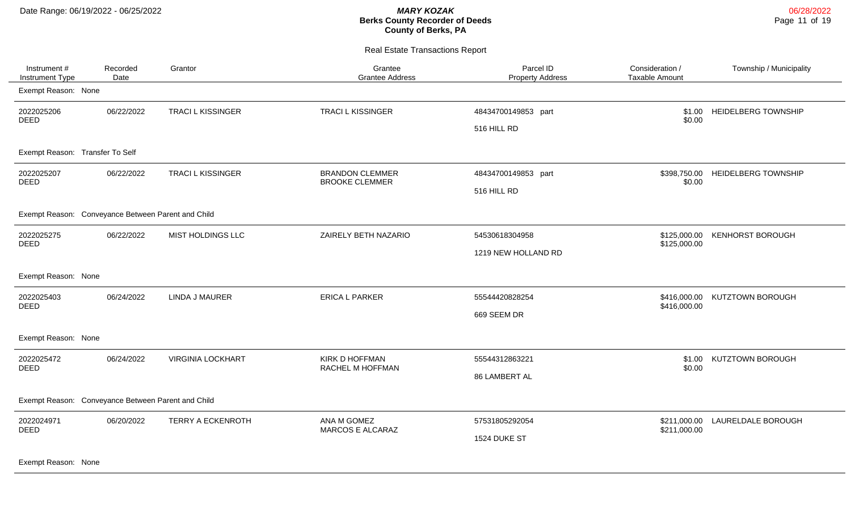Real Estate Transactions Report

| Instrument#<br>Instrument Type                     | Recorded<br>Date | Grantor                  | Grantee<br><b>Grantee Address</b>               | Parcel ID<br><b>Property Address</b> | Consideration /<br><b>Taxable Amount</b> | Township / Municipality          |
|----------------------------------------------------|------------------|--------------------------|-------------------------------------------------|--------------------------------------|------------------------------------------|----------------------------------|
| Exempt Reason: None                                |                  |                          |                                                 |                                      |                                          |                                  |
| 2022025206<br><b>DEED</b>                          | 06/22/2022       | <b>TRACI L KISSINGER</b> | <b>TRACIL KISSINGER</b>                         | 48434700149853 part<br>516 HILL RD   | \$1.00<br>\$0.00                         | <b>HEIDELBERG TOWNSHIP</b>       |
| Exempt Reason: Transfer To Self                    |                  |                          |                                                 |                                      |                                          |                                  |
| 2022025207<br><b>DEED</b>                          | 06/22/2022       | <b>TRACIL KISSINGER</b>  | <b>BRANDON CLEMMER</b><br><b>BROOKE CLEMMER</b> | 48434700149853 part                  | \$0.00                                   | \$398,750.00 HEIDELBERG TOWNSHIP |
|                                                    |                  |                          |                                                 | 516 HILL RD                          |                                          |                                  |
| Exempt Reason: Conveyance Between Parent and Child |                  |                          |                                                 |                                      |                                          |                                  |
| 2022025275<br><b>DEED</b>                          | 06/22/2022       | MIST HOLDINGS LLC        | ZAIRELY BETH NAZARIO                            | 54530618304958                       | \$125,000.00<br>\$125,000.00             | <b>KENHORST BOROUGH</b>          |
|                                                    |                  |                          |                                                 | 1219 NEW HOLLAND RD                  |                                          |                                  |
| Exempt Reason: None                                |                  |                          |                                                 |                                      |                                          |                                  |
| 2022025403<br><b>DEED</b>                          | 06/24/2022       | <b>LINDA J MAURER</b>    | <b>ERICA L PARKER</b>                           | 55544420828254                       | \$416,000.00                             | \$416,000.00 KUTZTOWN BOROUGH    |
|                                                    |                  |                          |                                                 | 669 SEEM DR                          |                                          |                                  |
| Exempt Reason: None                                |                  |                          |                                                 |                                      |                                          |                                  |
| 2022025472<br><b>DEED</b>                          | 06/24/2022       | <b>VIRGINIA LOCKHART</b> | KIRK D HOFFMAN<br>RACHEL M HOFFMAN              | 55544312863221                       | \$1.00<br>\$0.00                         | KUTZTOWN BOROUGH                 |
|                                                    |                  |                          |                                                 | 86 LAMBERT AL                        |                                          |                                  |
| Exempt Reason: Conveyance Between Parent and Child |                  |                          |                                                 |                                      |                                          |                                  |
| 2022024971<br><b>DEED</b>                          | 06/20/2022       | <b>TERRY A ECKENROTH</b> | ANA M GOMEZ<br><b>MARCOS E ALCARAZ</b>          | 57531805292054                       | \$211,000.00<br>\$211,000.00             | LAURELDALE BOROUGH               |
|                                                    |                  |                          |                                                 | 1524 DUKE ST                         |                                          |                                  |
|                                                    |                  |                          |                                                 |                                      |                                          |                                  |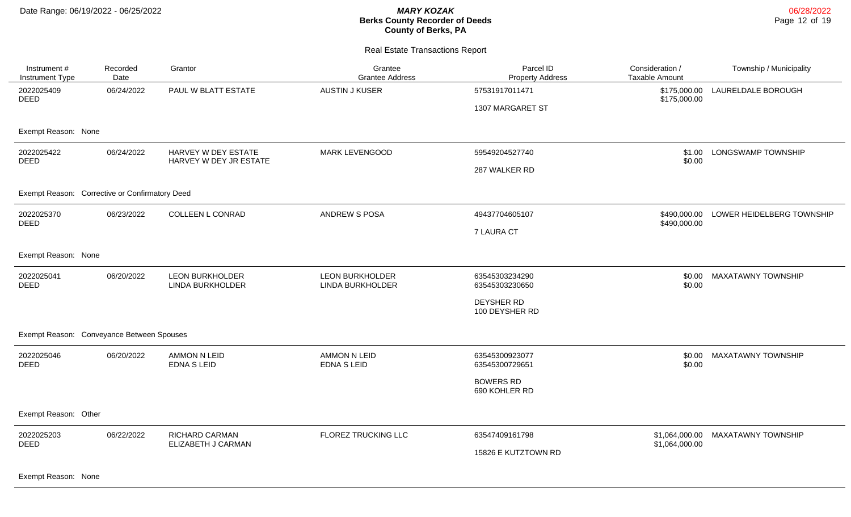#### Real Estate Transactions Report

| Instrument #<br>Instrument Type                | Recorded<br>Date | Grantor                                       | Grantee<br><b>Grantee Address</b>          | Parcel ID<br><b>Property Address</b> | Consideration /<br><b>Taxable Amount</b> | Township / Municipality   |
|------------------------------------------------|------------------|-----------------------------------------------|--------------------------------------------|--------------------------------------|------------------------------------------|---------------------------|
| 2022025409<br><b>DEED</b>                      | 06/24/2022       | PAUL W BLATT ESTATE                           | <b>AUSTIN J KUSER</b>                      | 57531917011471                       | \$175,000.00<br>\$175,000.00             | LAURELDALE BOROUGH        |
|                                                |                  |                                               |                                            | 1307 MARGARET ST                     |                                          |                           |
| Exempt Reason: None                            |                  |                                               |                                            |                                      |                                          |                           |
| 2022025422<br><b>DEED</b>                      | 06/24/2022       | HARVEY W DEY ESTATE<br>HARVEY W DEY JR ESTATE | <b>MARK LEVENGOOD</b>                      | 59549204527740                       | \$1.00<br>\$0.00                         | LONGSWAMP TOWNSHIP        |
|                                                |                  |                                               |                                            | 287 WALKER RD                        |                                          |                           |
| Exempt Reason: Corrective or Confirmatory Deed |                  |                                               |                                            |                                      |                                          |                           |
| 2022025370<br>06/23/2022<br>DEED               |                  | COLLEEN L CONRAD                              | ANDREW S POSA                              | 49437704605107                       | \$490,000.00<br>\$490,000.00             | LOWER HEIDELBERG TOWNSHIP |
|                                                |                  |                                               |                                            | <b>7 LAURA CT</b>                    |                                          |                           |
| Exempt Reason: None                            |                  |                                               |                                            |                                      |                                          |                           |
| 2022025041<br><b>DEED</b>                      | 06/20/2022       | <b>LEON BURKHOLDER</b><br>LINDA BURKHOLDER    | <b>LEON BURKHOLDER</b><br>LINDA BURKHOLDER | 63545303234290<br>63545303230650     | \$0.00<br>\$0.00                         | <b>MAXATAWNY TOWNSHIP</b> |
|                                                |                  |                                               |                                            | <b>DEYSHER RD</b><br>100 DEYSHER RD  |                                          |                           |
| Exempt Reason: Conveyance Between Spouses      |                  |                                               |                                            |                                      |                                          |                           |
| 2022025046<br><b>DEED</b>                      | 06/20/2022       | <b>AMMON N LEID</b><br><b>EDNA S LEID</b>     | <b>AMMON N LEID</b><br>EDNA S LEID         | 63545300923077<br>63545300729651     | \$0.00<br>\$0.00                         | <b>MAXATAWNY TOWNSHIP</b> |
|                                                |                  |                                               |                                            | <b>BOWERS RD</b><br>690 KOHLER RD    |                                          |                           |
| Exempt Reason: Other                           |                  |                                               |                                            |                                      |                                          |                           |
| 2022025203<br><b>DEED</b>                      | 06/22/2022       | <b>RICHARD CARMAN</b><br>ELIZABETH J CARMAN   | FLOREZ TRUCKING LLC                        | 63547409161798                       | \$1,064,000.00<br>\$1,064,000.00         | <b>MAXATAWNY TOWNSHIP</b> |
|                                                |                  |                                               |                                            | 15826 E KUTZTOWN RD                  |                                          |                           |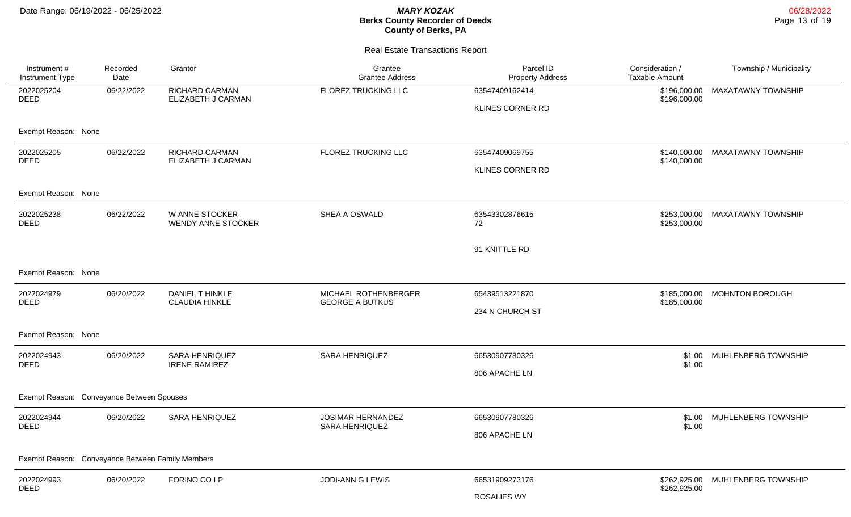| Instrument#<br>Instrument Type                   | Recorded<br>Date | Grantor                                     | Grantee<br><b>Grantee Address</b>              | Parcel ID<br><b>Property Address</b> | Consideration /<br><b>Taxable Amount</b> | Township / Municipality   |
|--------------------------------------------------|------------------|---------------------------------------------|------------------------------------------------|--------------------------------------|------------------------------------------|---------------------------|
| 2022025204<br><b>DEED</b>                        | 06/22/2022       | <b>RICHARD CARMAN</b><br>ELIZABETH J CARMAN | FLOREZ TRUCKING LLC                            | 63547409162414<br>KLINES CORNER RD   | \$196,000.00<br>\$196,000.00             | <b>MAXATAWNY TOWNSHIP</b> |
| Exempt Reason: None                              |                  |                                             |                                                |                                      |                                          |                           |
| 2022025205<br>DEED                               | 06/22/2022       | <b>RICHARD CARMAN</b><br>ELIZABETH J CARMAN | <b>FLOREZ TRUCKING LLC</b>                     | 63547409069755                       | \$140,000.00<br>\$140,000.00             | <b>MAXATAWNY TOWNSHIP</b> |
|                                                  |                  |                                             |                                                | KLINES CORNER RD                     |                                          |                           |
| Exempt Reason: None                              |                  |                                             |                                                |                                      |                                          |                           |
| 2022025238<br><b>DEED</b>                        | 06/22/2022       | W ANNE STOCKER<br><b>WENDY ANNE STOCKER</b> | SHEA A OSWALD                                  | 63543302876615<br>72                 | \$253,000.00<br>\$253,000.00             | <b>MAXATAWNY TOWNSHIP</b> |
|                                                  |                  |                                             |                                                | 91 KNITTLE RD                        |                                          |                           |
| Exempt Reason: None                              |                  |                                             |                                                |                                      |                                          |                           |
| 2022024979<br><b>DEED</b>                        | 06/20/2022       | DANIEL T HINKLE<br><b>CLAUDIA HINKLE</b>    | MICHAEL ROTHENBERGER<br><b>GEORGE A BUTKUS</b> | 65439513221870                       | \$185,000.00<br>\$185,000.00             | <b>MOHNTON BOROUGH</b>    |
|                                                  |                  |                                             |                                                | 234 N CHURCH ST                      |                                          |                           |
| Exempt Reason: None                              |                  |                                             |                                                |                                      |                                          |                           |
| 2022024943<br><b>DEED</b>                        | 06/20/2022       | SARA HENRIQUEZ<br><b>IRENE RAMIREZ</b>      | SARA HENRIQUEZ                                 | 66530907780326                       | \$1.00<br>\$1.00                         | MUHLENBERG TOWNSHIP       |
|                                                  |                  |                                             |                                                | 806 APACHE LN                        |                                          |                           |
| Exempt Reason: Conveyance Between Spouses        |                  |                                             |                                                |                                      |                                          |                           |
| 2022024944                                       | 06/20/2022       | SARA HENRIQUEZ                              | JOSIMAR HERNANDEZ<br>SARA HENRIQUEZ            | 66530907780326                       | \$1.00<br>\$1.00                         | MUHLENBERG TOWNSHIP       |
| DEED                                             |                  |                                             |                                                | 806 APACHE LN                        |                                          |                           |
| Exempt Reason: Conveyance Between Family Members |                  |                                             |                                                |                                      |                                          |                           |
| 2022024993                                       | 06/20/2022       | FORINO CO LP                                | JODI-ANN G LEWIS                               | 66531909273176                       | \$262,925.00<br>\$262,925.00             | MUHLENBERG TOWNSHIP       |
| <b>DEED</b>                                      |                  |                                             |                                                | <b>ROSALIES WY</b>                   |                                          |                           |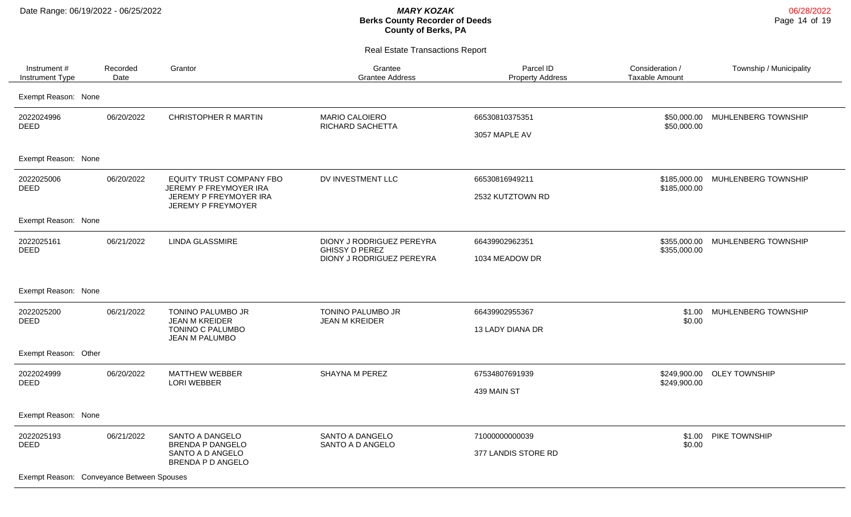| Instrument #<br><b>Instrument Type</b>                                 | Recorded<br>Date | Grantor                                                                                                   | Grantee<br><b>Grantee Address</b>                                               | Parcel ID<br><b>Property Address</b>  | Consideration /<br><b>Taxable Amount</b> | Township / Municipality |
|------------------------------------------------------------------------|------------------|-----------------------------------------------------------------------------------------------------------|---------------------------------------------------------------------------------|---------------------------------------|------------------------------------------|-------------------------|
| Exempt Reason: None                                                    |                  |                                                                                                           |                                                                                 |                                       |                                          |                         |
| 2022024996<br><b>DEED</b>                                              | 06/20/2022       | CHRISTOPHER R MARTIN                                                                                      | <b>MARIO CALOIERO</b><br>RICHARD SACHETTA                                       | 66530810375351<br>3057 MAPLE AV       | \$50,000.00<br>\$50,000.00               | MUHLENBERG TOWNSHIP     |
| Exempt Reason: None                                                    |                  |                                                                                                           |                                                                                 |                                       |                                          |                         |
| 2022025006<br><b>DEED</b>                                              | 06/20/2022       | EQUITY TRUST COMPANY FBO<br>JEREMY P FREYMOYER IRA<br>JEREMY P FREYMOYER IRA<br><b>JEREMY P FREYMOYER</b> | DV INVESTMENT LLC                                                               | 66530816949211<br>2532 KUTZTOWN RD    | \$185,000.00<br>\$185,000.00             | MUHLENBERG TOWNSHIP     |
| Exempt Reason: None                                                    |                  |                                                                                                           |                                                                                 |                                       |                                          |                         |
| 2022025161<br><b>DEED</b>                                              | 06/21/2022       | <b>LINDA GLASSMIRE</b>                                                                                    | DIONY J RODRIGUEZ PEREYRA<br><b>GHISSY D PEREZ</b><br>DIONY J RODRIGUEZ PEREYRA | 66439902962351<br>1034 MEADOW DR      | \$355,000.00<br>\$355,000.00             | MUHLENBERG TOWNSHIP     |
| Exempt Reason: None                                                    |                  |                                                                                                           |                                                                                 |                                       |                                          |                         |
| 2022025200<br><b>DEED</b>                                              | 06/21/2022       | <b>TONINO PALUMBO JR</b><br><b>JEAN M KREIDER</b><br>TONINO C PALUMBO<br>JEAN M PALUMBO                   | TONINO PALUMBO JR<br><b>JEAN M KREIDER</b>                                      | 66439902955367<br>13 LADY DIANA DR    | \$1.00<br>\$0.00                         | MUHLENBERG TOWNSHIP     |
| Exempt Reason: Other                                                   |                  |                                                                                                           |                                                                                 |                                       |                                          |                         |
| 2022024999<br><b>DEED</b>                                              | 06/20/2022       | <b>MATTHEW WEBBER</b><br><b>LORI WEBBER</b>                                                               | SHAYNA M PEREZ                                                                  | 67534807691939<br>439 MAIN ST         | \$249,900.00<br>\$249,900.00             | <b>OLEY TOWNSHIP</b>    |
| Exempt Reason: None                                                    |                  |                                                                                                           |                                                                                 |                                       |                                          |                         |
| 2022025193<br><b>DEED</b><br>Exempt Reason: Conveyance Between Spouses | 06/21/2022       | SANTO A DANGELO<br><b>BRENDA P DANGELO</b><br>SANTO A D ANGELO<br>BRENDA P D ANGELO                       | SANTO A DANGELO<br>SANTO A D ANGELO                                             | 71000000000039<br>377 LANDIS STORE RD | \$1.00<br>\$0.00                         | PIKE TOWNSHIP           |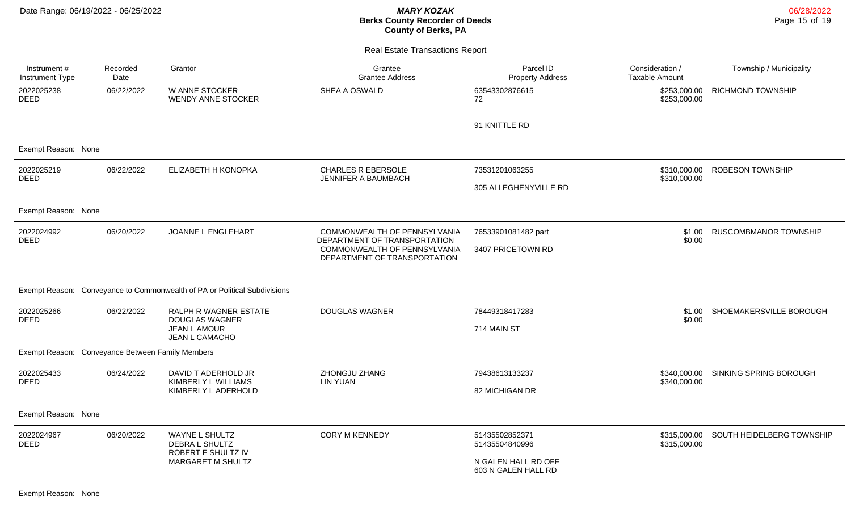06/28/2022 Page 15 of 19

Real Estate Transactions Report

| Instrument#<br><b>Instrument Type</b> | Recorded<br>Date                                 | Grantor                                                                          | Grantee<br><b>Grantee Address</b>                            | Parcel ID<br><b>Property Address</b>       | Consideration /<br>Taxable Amount | Township / Municipality   |
|---------------------------------------|--------------------------------------------------|----------------------------------------------------------------------------------|--------------------------------------------------------------|--------------------------------------------|-----------------------------------|---------------------------|
| 2022025238<br><b>DEED</b>             | 06/22/2022                                       | W ANNE STOCKER<br><b>WENDY ANNE STOCKER</b>                                      | SHEA A OSWALD                                                | 63543302876615<br>72                       | \$253,000.00<br>\$253,000.00      | <b>RICHMOND TOWNSHIP</b>  |
|                                       |                                                  |                                                                                  |                                                              | 91 KNITTLE RD                              |                                   |                           |
| Exempt Reason: None                   |                                                  |                                                                                  |                                                              |                                            |                                   |                           |
| 2022025219<br><b>DEED</b>             | 06/22/2022                                       | ELIZABETH H KONOPKA                                                              | <b>CHARLES R EBERSOLE</b><br>JENNIFER A BAUMBACH             | 73531201063255                             | \$310,000,00<br>\$310,000.00      | <b>ROBESON TOWNSHIP</b>   |
|                                       |                                                  |                                                                                  |                                                              | 305 ALLEGHENYVILLE RD                      |                                   |                           |
| Exempt Reason: None                   |                                                  |                                                                                  |                                                              |                                            |                                   |                           |
| 2022024992<br><b>DEED</b>             | 06/20/2022                                       | JOANNE L ENGLEHART                                                               | COMMONWEALTH OF PENNSYLVANIA<br>DEPARTMENT OF TRANSPORTATION | 76533901081482 part                        | \$1.00<br>\$0.00                  | RUSCOMBMANOR TOWNSHIP     |
|                                       |                                                  |                                                                                  | COMMONWEALTH OF PENNSYLVANIA<br>DEPARTMENT OF TRANSPORTATION | 3407 PRICETOWN RD                          |                                   |                           |
|                                       |                                                  | Exempt Reason: Conveyance to Commonwealth of PA or Political Subdivisions        |                                                              |                                            |                                   |                           |
| 2022025266<br><b>DEED</b>             | 06/22/2022                                       | RALPH R WAGNER ESTATE<br><b>DOUGLAS WAGNER</b><br>JEAN L AMOUR<br>JEAN L CAMACHO | <b>DOUGLAS WAGNER</b>                                        | 78449318417283                             | \$1.00<br>\$0.00                  | SHOEMAKERSVILLE BOROUGH   |
|                                       |                                                  |                                                                                  |                                                              | 714 MAIN ST                                |                                   |                           |
|                                       | Exempt Reason: Conveyance Between Family Members |                                                                                  |                                                              |                                            |                                   |                           |
| 2022025433<br><b>DEED</b>             | 06/24/2022                                       | DAVID T ADERHOLD JR<br>KIMBERLY L WILLIAMS                                       | ZHONGJU ZHANG<br><b>LIN YUAN</b>                             | 79438613133237                             | \$340,000.00<br>\$340,000.00      | SINKING SPRING BOROUGH    |
|                                       |                                                  | KIMBERLY L ADERHOLD                                                              |                                                              | 82 MICHIGAN DR                             |                                   |                           |
| Exempt Reason: None                   |                                                  |                                                                                  |                                                              |                                            |                                   |                           |
| 2022024967<br><b>DEED</b>             | 06/20/2022                                       | WAYNE L SHULTZ<br>DEBRA L SHULTZ<br>ROBERT E SHULTZ IV<br>MARGARET M SHULTZ      | <b>CORY M KENNEDY</b>                                        | 51435502852371<br>51435504840996           | \$315,000.00<br>\$315,000.00      | SOUTH HEIDELBERG TOWNSHIP |
|                                       |                                                  |                                                                                  |                                                              | N GALEN HALL RD OFF<br>603 N GALEN HALL RD |                                   |                           |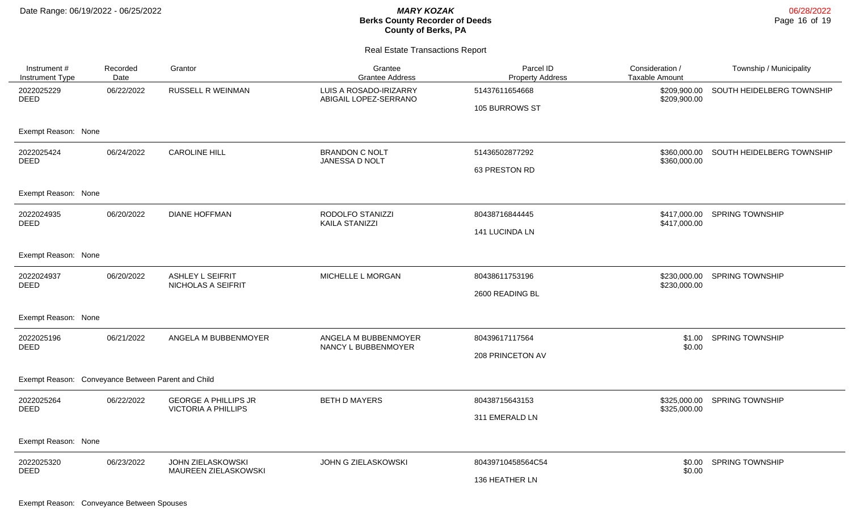#### Real Estate Transactions Report

| Instrument #<br>Instrument Type                    | Recorded<br>Date | Grantor                                                   | Grantee<br><b>Grantee Address</b>               | Parcel ID<br><b>Property Address</b> | Consideration /<br><b>Taxable Amount</b> | Township / Municipality                |
|----------------------------------------------------|------------------|-----------------------------------------------------------|-------------------------------------------------|--------------------------------------|------------------------------------------|----------------------------------------|
| 2022025229<br><b>DEED</b>                          | 06/22/2022       | RUSSELL R WEINMAN                                         | LUIS A ROSADO-IRIZARRY<br>ABIGAIL LOPEZ-SERRANO | 51437611654668                       | \$209,900.00<br>\$209,900.00             | SOUTH HEIDELBERG TOWNSHIP              |
|                                                    |                  |                                                           |                                                 | 105 BURROWS ST                       |                                          |                                        |
| Exempt Reason: None                                |                  |                                                           |                                                 |                                      |                                          |                                        |
| 2022025424<br><b>DEED</b>                          | 06/24/2022       | <b>CAROLINE HILL</b>                                      | <b>BRANDON C NOLT</b>                           | 51436502877292                       |                                          | \$360,000.00 SOUTH HEIDELBERG TOWNSHIP |
|                                                    |                  |                                                           | JANESSA D NOLT                                  | 63 PRESTON RD                        | \$360,000.00                             |                                        |
| Exempt Reason: None                                |                  |                                                           |                                                 |                                      |                                          |                                        |
| 2022024935<br><b>DEED</b>                          | 06/20/2022       | <b>DIANE HOFFMAN</b>                                      | RODOLFO STANIZZI<br><b>KAILA STANIZZI</b>       | 80438716844445                       | \$417,000.00<br>\$417,000.00             | <b>SPRING TOWNSHIP</b>                 |
|                                                    |                  |                                                           |                                                 | 141 LUCINDA LN                       |                                          |                                        |
| Exempt Reason: None                                |                  |                                                           |                                                 |                                      |                                          |                                        |
| 2022024937<br><b>DEED</b>                          | 06/20/2022       | ASHLEY L SEIFRIT<br>NICHOLAS A SEIFRIT                    | MICHELLE L MORGAN                               | 80438611753196                       | \$230,000.00<br>\$230,000.00             | <b>SPRING TOWNSHIP</b>                 |
|                                                    |                  |                                                           |                                                 | 2600 READING BL                      |                                          |                                        |
| Exempt Reason: None                                |                  |                                                           |                                                 |                                      |                                          |                                        |
| 2022025196<br><b>DEED</b>                          | 06/21/2022       | ANGELA M BUBBENMOYER                                      | ANGELA M BUBBENMOYER<br>NANCY L BUBBENMOYER     | 80439617117564                       | \$1.00<br>\$0.00                         | <b>SPRING TOWNSHIP</b>                 |
|                                                    |                  |                                                           |                                                 | 208 PRINCETON AV                     |                                          |                                        |
| Exempt Reason: Conveyance Between Parent and Child |                  |                                                           |                                                 |                                      |                                          |                                        |
| 2022025264<br><b>DEED</b>                          | 06/22/2022       | <b>GEORGE A PHILLIPS JR</b><br><b>VICTORIA A PHILLIPS</b> | <b>BETH D MAYERS</b>                            | 80438715643153                       | \$325,000.00<br>\$325,000.00             | <b>SPRING TOWNSHIP</b>                 |
|                                                    |                  |                                                           |                                                 | 311 EMERALD LN                       |                                          |                                        |
| Exempt Reason: None                                |                  |                                                           |                                                 |                                      |                                          |                                        |
| 2022025320                                         | 06/23/2022       | <b>JOHN ZIELASKOWSKI</b><br>MAUREEN ZIELASKOWSKI          | JOHN G ZIELASKOWSKI                             | 80439710458564C54                    | \$0.00<br>\$0.00                         | <b>SPRING TOWNSHIP</b>                 |
| <b>DEED</b>                                        |                  |                                                           |                                                 | 136 HEATHER LN                       |                                          |                                        |

Exempt Reason: Conveyance Between Spouses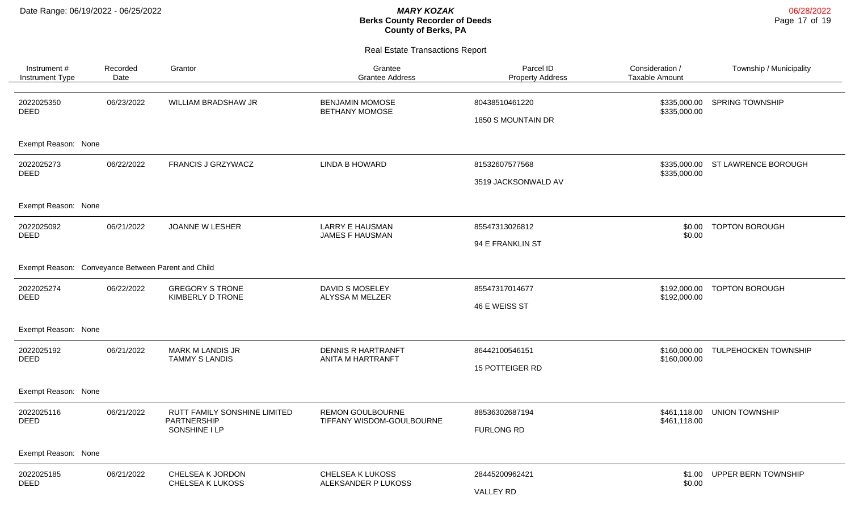| Instrument#<br><b>Instrument Type</b>              | Recorded<br>Date | Grantor                                                      | Grantee<br><b>Grantee Address</b>                    | Parcel ID<br><b>Property Address</b> | Consideration /<br><b>Taxable Amount</b> | Township / Municipality    |
|----------------------------------------------------|------------------|--------------------------------------------------------------|------------------------------------------------------|--------------------------------------|------------------------------------------|----------------------------|
| 2022025350<br><b>DEED</b>                          | 06/23/2022       | WILLIAM BRADSHAW JR                                          | <b>BENJAMIN MOMOSE</b><br><b>BETHANY MOMOSE</b>      | 80438510461220<br>1850 S MOUNTAIN DR | \$335,000.00<br>\$335,000.00             | <b>SPRING TOWNSHIP</b>     |
| Exempt Reason: None                                |                  |                                                              |                                                      |                                      |                                          |                            |
| 2022025273<br><b>DEED</b>                          | 06/22/2022       | FRANCIS J GRZYWACZ                                           | <b>LINDA B HOWARD</b>                                | 81532607577568                       | \$335,000.00<br>\$335,000.00             | ST LAWRENCE BOROUGH        |
|                                                    |                  |                                                              |                                                      | 3519 JACKSONWALD AV                  |                                          |                            |
| Exempt Reason: None                                |                  |                                                              |                                                      |                                      |                                          |                            |
| 2022025092                                         | 06/21/2022       | JOANNE W LESHER                                              | <b>LARRY E HAUSMAN</b>                               | 85547313026812                       | \$0.00<br>\$0.00                         | <b>TOPTON BOROUGH</b>      |
| <b>DEED</b>                                        |                  |                                                              | <b>JAMES F HAUSMAN</b>                               | 94 E FRANKLIN ST                     |                                          |                            |
| Exempt Reason: Conveyance Between Parent and Child |                  |                                                              |                                                      |                                      |                                          |                            |
| 2022025274<br><b>DEED</b>                          | 06/22/2022       | <b>GREGORY S TRONE</b><br><b>KIMBERLY D TRONE</b>            | DAVID S MOSELEY<br>ALYSSA M MELZER                   | 85547317014677                       | \$192,000.00<br>\$192,000.00             | <b>TOPTON BOROUGH</b>      |
|                                                    |                  |                                                              |                                                      | 46 E WEISS ST                        |                                          |                            |
| Exempt Reason: None                                |                  |                                                              |                                                      |                                      |                                          |                            |
| 2022025192<br><b>DEED</b>                          | 06/21/2022       | <b>MARK M LANDIS JR</b>                                      | <b>DENNIS R HARTRANFT</b><br>ANITA M HARTRANFT       | 86442100546151                       | \$160,000.00<br>\$160,000.00             | TULPEHOCKEN TOWNSHIP       |
|                                                    |                  | <b>TAMMY S LANDIS</b>                                        |                                                      | <b>15 POTTEIGER RD</b>               |                                          |                            |
| Exempt Reason: None                                |                  |                                                              |                                                      |                                      |                                          |                            |
| 2022025116                                         | 06/21/2022       | RUTT FAMILY SONSHINE LIMITED<br>PARTNERSHIP<br>SONSHINE I LP | <b>REMON GOULBOURNE</b><br>TIFFANY WISDOM-GOULBOURNE | 88536302687194                       | \$461,118.00<br>\$461,118.00             | <b>UNION TOWNSHIP</b>      |
| <b>DEED</b>                                        |                  |                                                              |                                                      | <b>FURLONG RD</b>                    |                                          |                            |
| Exempt Reason: None                                |                  |                                                              |                                                      |                                      |                                          |                            |
| 2022025185                                         | 06/21/2022       | CHELSEA K JORDON<br>CHELSEA K LUKOSS                         | CHELSEA K LUKOSS<br>ALEKSANDER P LUKOSS              | 28445200962421                       | \$1.00                                   | <b>UPPER BERN TOWNSHIP</b> |
| <b>DEED</b>                                        |                  |                                                              |                                                      | \$0.00<br><b>VALLEY RD</b>           |                                          |                            |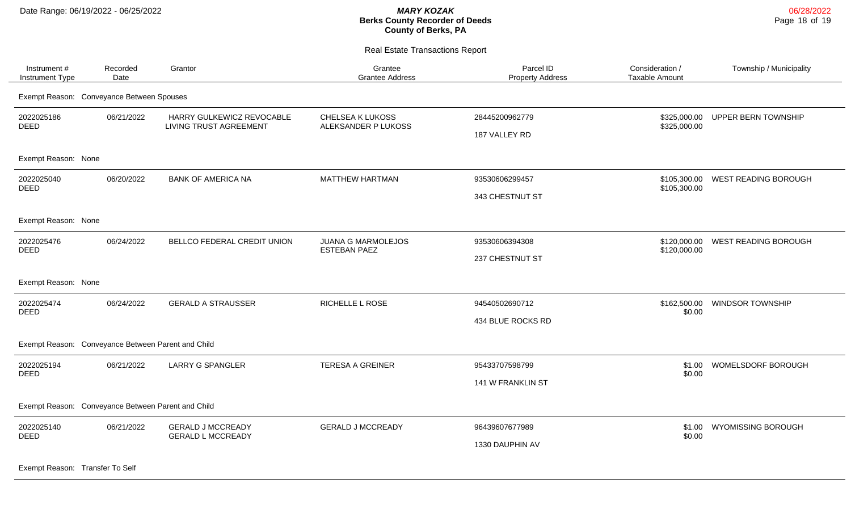Real Estate Transactions Report

| Instrument#<br>Instrument Type                     | Recorded<br>Date | Grantor                                                    | Grantee<br><b>Grantee Address</b>                | Parcel ID<br><b>Property Address</b> | Consideration /<br>Taxable Amount | Township / Municipality   |
|----------------------------------------------------|------------------|------------------------------------------------------------|--------------------------------------------------|--------------------------------------|-----------------------------------|---------------------------|
| Exempt Reason: Conveyance Between Spouses          |                  |                                                            |                                                  |                                      |                                   |                           |
| 2022025186<br><b>DEED</b>                          | 06/21/2022       | HARRY GULKEWICZ REVOCABLE<br><b>LIVING TRUST AGREEMENT</b> | CHELSEA K LUKOSS<br>ALEKSANDER P LUKOSS          | 28445200962779<br>187 VALLEY RD      | \$325,000.00<br>\$325,000.00      | UPPER BERN TOWNSHIP       |
| Exempt Reason: None                                |                  |                                                            |                                                  |                                      |                                   |                           |
| 2022025040<br><b>DEED</b>                          | 06/20/2022       | <b>BANK OF AMERICA NA</b>                                  | <b>MATTHEW HARTMAN</b>                           | 93530606299457<br>343 CHESTNUT ST    | \$105,300.00<br>\$105,300.00      | WEST READING BOROUGH      |
| Exempt Reason: None                                |                  |                                                            |                                                  |                                      |                                   |                           |
| 2022025476<br><b>DEED</b>                          | 06/24/2022       | BELLCO FEDERAL CREDIT UNION                                | <b>JUANA G MARMOLEJOS</b><br><b>ESTEBAN PAEZ</b> | 93530606394308<br>237 CHESTNUT ST    | \$120,000.00<br>\$120,000.00      | WEST READING BOROUGH      |
| Exempt Reason: None                                |                  |                                                            |                                                  |                                      |                                   |                           |
| 2022025474<br><b>DEED</b>                          | 06/24/2022       | <b>GERALD A STRAUSSER</b>                                  | <b>RICHELLE L ROSE</b>                           | 94540502690712<br>434 BLUE ROCKS RD  | \$162,500.00<br>\$0.00            | <b>WINDSOR TOWNSHIP</b>   |
| Exempt Reason: Conveyance Between Parent and Child |                  |                                                            |                                                  |                                      |                                   |                           |
| 2022025194<br><b>DEED</b>                          | 06/21/2022       | <b>LARRY G SPANGLER</b>                                    | <b>TERESA A GREINER</b>                          | 95433707598799<br>141 W FRANKLIN ST  | \$1.00<br>\$0.00                  | WOMELSDORF BOROUGH        |
| Exempt Reason: Conveyance Between Parent and Child |                  |                                                            |                                                  |                                      |                                   |                           |
| 2022025140<br><b>DEED</b>                          | 06/21/2022       | <b>GERALD J MCCREADY</b><br><b>GERALD L MCCREADY</b>       | <b>GERALD J MCCREADY</b>                         | 96439607677989<br>1330 DAUPHIN AV    | \$1.00<br>\$0.00                  | <b>WYOMISSING BOROUGH</b> |

Exempt Reason: Transfer To Self